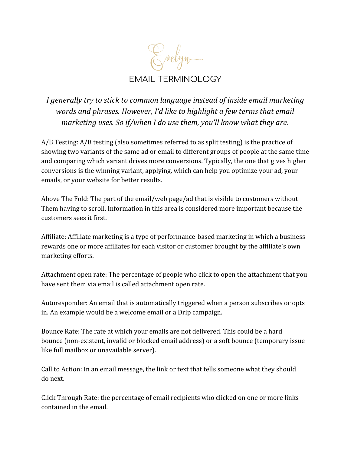Evelyn. EMAIL TERMINOLOGY

*I generally try to stick to common language instead of inside email marketing words and phrases. However, I'd like to highlight a few terms that email marketing uses. So if/when I do use them, you'll know what they are.*

A/B Testing: A/B testing (also sometimes referred to as split testing) is the practice of showing two variants of the same ad or email to different groups of people at the same time and comparing which variant drives more conversions. Typically, the one that gives higher conversions is the winning variant, applying, which can help you optimize your ad, your emails, or your website for better results.

Above The Fold: The part of the email/web page/ad that is visible to customers without Them having to scroll. Information in this area is considered more important because the customers sees it first.

Affiliate: Affiliate marketing is a type of performance-based marketing in which a business rewards one or more affiliates for each visitor or customer brought by the affiliate's own marketing efforts.

Attachment open rate: The percentage of people who click to open the attachment that you have sent them via email is called attachment open rate.

Autoresponder: An email that is automatically triggered when a person subscribes or opts in. An example would be a welcome email or a Drip campaign.

Bounce Rate: The rate at which your emails are not delivered. This could be a hard bounce (non-existent, invalid or blocked email address) or a soft bounce (temporary issue like full mailbox or unavailable server).

Call to Action: In an email message, the link or text that tells someone what they should do next.

Click Through Rate: the percentage of email recipients who clicked on one or more links contained in the email.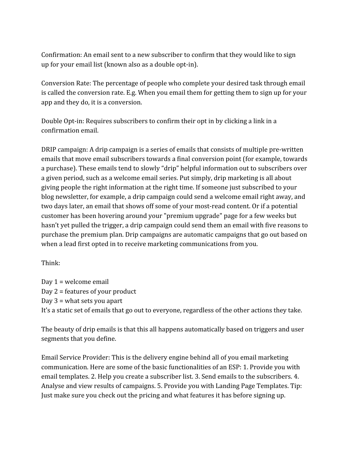Confirmation: An email sent to a new subscriber to confirm that they would like to sign up for your email list (known also as a double opt-in).

Conversion Rate: The percentage of people who complete your desired task through email is called the conversion rate. E.g. When you email them for getting them to sign up for your app and they do, it is a conversion.

Double Opt-in: Requires subscribers to confirm their opt in by clicking a link in a confirmation email.

DRIP campaign: A drip campaign is a series of emails that consists of multiple pre-written emails that move email subscribers towards a final conversion point (for example, towards a purchase). These emails tend to slowly "drip" helpful information out to subscribers over a given period, such as a welcome email series. Put simply, drip marketing is all about giving people the right information at the right time. If someone just subscribed to your blog newsletter, for example, a drip campaign could send a welcome email right away, and two days later, an email that shows off some of your most-read content. Or if a potential customer has been hovering around your "premium upgrade" page for a few weeks but hasn't yet pulled the trigger, a drip campaign could send them an email with five reasons to purchase the premium plan. Drip campaigns are automatic campaigns that go out based on when a lead first opted in to receive marketing communications from you.

Think:

Day 1 = welcome email Day 2 = features of your product Day 3 = what sets you apart It's a static set of emails that go out to everyone, regardless of the other actions they take.

The beauty of drip emails is that this all happens automatically based on triggers and user segments that you define.

Email Service Provider: This is the delivery engine behind all of you email marketing communication. Here are some of the basic functionalities of an ESP: 1. Provide you with email templates. 2. Help you create a subscriber list. 3. Send emails to the subscribers. 4. Analyse and view results of campaigns. 5. Provide you with Landing Page Templates. Tip: Just make sure you check out the pricing and what features it has before signing up.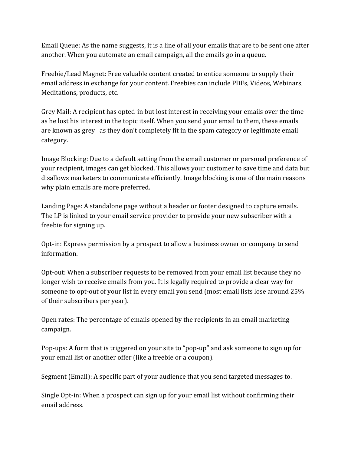Email Queue: As the name suggests, it is a line of all your emails that are to be sent one after another. When you automate an email campaign, all the emails go in a queue.

Freebie/Lead Magnet: Free valuable content created to entice someone to supply their email address in exchange for your content. Freebies can include PDFs, Videos, Webinars, Meditations, products, etc.

Grey Mail: A recipient has opted-in but lost interest in receiving your emails over the time as he lost his interest in the topic itself. When you send your email to them, these emails are known as grey as they don't completely fit in the spam category or legitimate email category.

Image Blocking: Due to a default setting from the email customer or personal preference of your recipient, images can get blocked. This allows your customer to save time and data but disallows marketers to communicate efficiently. Image blocking is one of the main reasons why plain emails are more preferred.

Landing Page: A standalone page without a header or footer designed to capture emails. The LP is linked to your email service provider to provide your new subscriber with a freebie for signing up.

Opt-in: Express permission by a prospect to allow a business owner or company to send information.

Opt-out: When a subscriber requests to be removed from your email list because they no longer wish to receive emails from you. It is legally required to provide a clear way for someone to opt-out of your list in every email you send (most email lists lose around 25% of their subscribers per year).

Open rates: The percentage of emails opened by the recipients in an email marketing campaign.

Pop-ups: A form that is triggered on your site to "pop-up" and ask someone to sign up for your email list or another offer (like a freebie or a coupon).

Segment (Email): A specific part of your audience that you send targeted messages to.

Single Opt-in: When a prospect can sign up for your email list without confirming their email address.